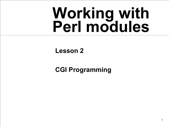# **Working with Perl modules**

#### **Lesson 2**

#### **CGI Programming**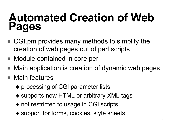### **Automated Creation of Web Pages**

- CGI.pm provides many methods to simplify the creation of web pages out of perl scripts
- Module contained in core perl
- Main application is creation of dynamic web pages
- Main features
	- ◆ processing of CGI parameter lists
	- ◆ supports new HTML or arbitrary XML tags
	- ◆ not restricted to usage in CGI scripts
	- ◆ support for forms, cookies, style sheets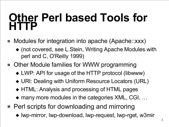#### **Other Perl based Tools for HTTP**

- Modules for integration into apache (Apache::xxx)
	- ◆ (not covered, see L.Stein, Writing Apache Modules with perl and C, O'Reilly 1999)
- Other Module families for WWW programming
	- ◆ LWP: API for usage of the HTTP protocol (libwww)
	- ◆ URI: Dealing with Uniform Resource Locators (URL)
	- ◆ HTML: Analysis and processing of HTML pages
	- ◆ many more modules in the categories XML, CGI, ...
- Perl scripts for downloading and mirroring
	- ◆ lwp-mirror, lwp-download, lwp-request, lwp-rget, w3mir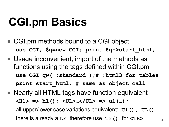# **CGI.pm Basics**

- CGI.pm methods bound to a CGI object **use CGI; \$q=new CGI; print \$q->start\_html;**
- Usage inconvenient, import of the methods as functions using the tags defined within CGI.pm **use CGI qw( :standard );# :html3 for tables print start\_html; # same as object call**
- Nearly all HTML tags have function equivalent **<H1> => h1(); <UL>…</UL> => ul(…);** all upper/lower case variations equivalent: **Ul(), UL()** there is already a **tr** therefore use **Tr()** for **<TR>**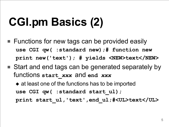# **CGI.pm Basics (2)**

- Functions for new tags can be provided easily **use CGI qw( :standard new);# function new print new('text'); # yields <NEW>text</NEW>**
- Start and end tags can be generated separately by functions **start\_***xxx* and **end** *xxx*
	- ◆ at least one of the functions has to be imported **use CGI qw( :standard start\_ul); print start\_ul, 'text' ,end\_ul;#<UL>text</UL>**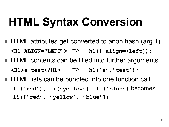## **HTML Syntax Conversion**

- HTML attributes get converted to anon hash (arg 1) **<H1 ALIGN="LEFT">** => **h1({-align=>left});**
- HTML contents can be filled into further arguments **<H1>a test</H1>** => **h1('a' , 'test');**
- HTML lists can be bundled into one function call **li('red'), li('yellow'), li('blue')** becomes **li(['red' , 'yellow' , 'blue'])**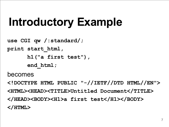# **Introductory Example**

```
use CGI qw /:standard/;
print start_html,
      h1("a first test"),
      end_html;
```
becomes

**<!DOCTYPE HTML PUBLIC "-//IETF//DTD HTML//EN"> <HTML><HEAD><TITLE>Untitled Document</TITLE> </HEAD><BODY><H1>a first test</H1></BODY> </HTML>**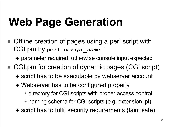# **Web Page Generation**

- Offline creation of pages using a perl script with CGI.pm by **perl** *script\_name* **1**
	- ◆ parameter required, otherwise console input expected
- CGI.pm for creation of dynamic pages (CGI script)
	- ◆ script has to be executable by webserver account
	- ◆ Webserver has to be configured properly

✦ directory for CGI scripts with proper access control ✦ naming schema for CGI scripts (e.g. extension .pl)

◆ script has to fulfil security requirements (taint safe)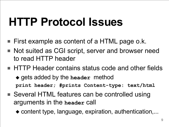# **HTTP Protocol Issues**

- First example as content of a HTML page o.k.
- Not suited as CGI script, server and browser need to read HTTP header
- HTTP Header contains status code and other fields
	- ◆ gets added by the **header** method **print header; #prints Content-type: text/html**
- Several HTML features can be controlled using arguments in the **header** call
	- ◆ content type, language, expiration, authentication,...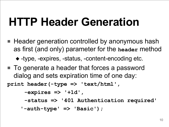## **HTTP Header Generation**

■ Header generation controlled by anonymous hash as first (and only) parameter for the **header** method

◆ -type, -expires, -status, -content-encoding etc.

■ To generate a header that forces a password dialog and sets expiration time of one day:

**print header(-type => 'text/html' ,**

**-expires => '+1d' ,**

**-status => '401 Authentication required'**

**'-auth-type' => 'Basic');**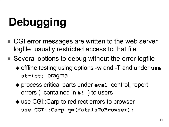# **Debugging**

- CGI error messages are written to the web server logfile, usually restricted access to that file
- Several options to debug without the error logfile
	- ◆ offline testing using options -w and -T and under **use strict;** pragma
	- ◆ process critical parts under eval control, report errors ( contained in **@!** ) to users
	- ◆ use CGI::Carp to redirect errors to browser **use CGI::Carp qw(fatalsToBrowser);**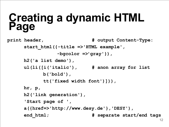#### **Creating a dynamic HTML Page**

```
print header, # output Content-Type:
      start_html({-title =>'HTML example',
                  -bgcolor =>'gray'}),
      h2('a list demo'),
      ul(li([i('italic'), # anon array for list
             b('bold'),
             tt('fixed width font')])),
      hr, p,
      h2('link generation'),
      'Start page of ',
      a({href=>'http://www.desy.de'},'DESY'),
      end_html; # separate start/end tags
```
12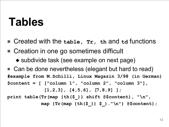### **Tables**

- Created with the **table, Tr, th** and td functions
- Creation in one go sometimes difficult
	- ◆ subdivide task (see example on next page)
- Can be done nevertheless (elegant but hard to read) **#example from M.Schilli, Linux Magazin 3/98 (in German) \$content = [ ["column 1", "column 2", "column 3"],**

**[1,2,3], [4,5,6], [7,8,9] ];**

**print table(Tr(map {th(\$\_)} shift @\$content), "\n",**

**map {Tr(map {th(\$\_)} \$\_)."\n"} @\$content);**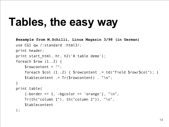# **Tables, the easy way**

```
#example from M.Schilli, Linux Magazin 3/98 (in German)
use CGI qw /:standard :html3/;
print header;
print start html, hr, h2('A table demo');
foreach $row (1..2) {
    $rowcontent = "";
    foreach \text{\$col }(1..2) { \text{\$rowcontrol} := \text{td("field } \text{\$row}/\text{\$col"}); }
    $tablecontent .= Tr($rowcontent) . "\n";
}
print table(
    \{-border \Rightarrow 1, -bgcolor \Rightarrow 'orange'\}, "\\n",Tr(th("column 1"), th("column 2")), "\n",
    $tablecontent
);
```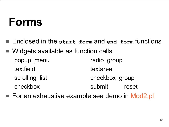### **Forms**

- Enclosed in the start form and end form functions
- Widgets available as function calls popup\_menu radio\_group textfield textarea scrolling list checkbox group checkbox submit reset
- For an exhaustive example see demo in Mod2.pl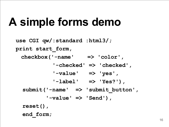## **A simple forms demo**

**use CGI qw/:standard :html3/; print start\_form, checkbox('-name' => 'color' , '-checked' => 'checked' , '-value' => 'yes' , '-label' => 'Yes?'), submit('-name' => 'submit\_button' , '-value' => 'Send'), reset(), end\_form;**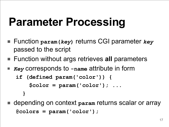# **Parameter Processing**

- Function **param(***key***)** returns CGI parameter *key* passed to the script
- Function without args retrieves all parameters
- *Key* corresponds to -name attribute in form

```
if (defined param('color')) {
    $color = param('color'); ...
  }
```
depending on context param returns scalar or array **@colors = param('color');**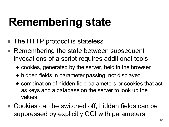# **Remembering state**

- The HTTP protocol is stateless
- Remembering the state between subsequent invocations of a script requires additional tools
	- ◆ cookies, generated by the server, held in the browser
	- ◆ hidden fields in parameter passing, not displayed
	- ◆ combination of hidden field parameters or cookies that act as keys and a database on the server to look up the values
- Cookies can be switched off, hidden fields can be suppressed by explicitly CGI with parameters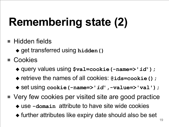# **Remembering state (2)**

- Hidden fields
	- ◆ get transferred using **hidden()**
- Cookies
	- ◆ query values using **\$val=cookie(-name=>'***id***');**
	- ◆ retrieve the names of all cookies: **@ids=cookie();**
	- ◆ set using **cookie(-name=>'***id***' ,-value=>'val');**
- Very few cookies per visited site are good practice
	- ◆ use **-domain** attribute to have site wide cookies
	- ◆ further attributes like expiry date should also be set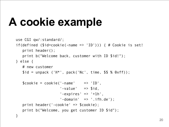# **A cookie example**

```
use CGI qw/:standard/;
if(defined ($id=cookie(-name => 'ID'))) { # Cookie is set!
   print header();
   print b("Welcome back, customer with ID $id!");
} else {
  # new customer
   $id = unpack ('H<sup>*</sup>', pack ('Nc', time, $$ % 0xff));$cookie = cookie(' -name' = > 'ID','-value' => $id,'-expires' => '+1h',
                     '-domain' => '.ifh.de');
   print header('-cookie' => $cookie);
   print b("Welcome, you get customer ID $id");
}
```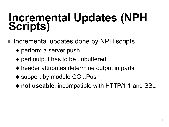#### **Incremental Updates (NPH Scripts)**

- Incremental updates done by NPH scripts
	- ◆ perform a server push
	- ◆ perl output has to be unbuffered
	- ◆ header attributes determine output in parts
	- ◆ support by module CGI::Push
	- ◆ not useable, incompatible with HTTP/1.1 and SSL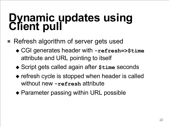#### **Dynamic updates using Client pull**

- Refresh algorithm of server gets used
	- ◆ CGI generates header with **-refresh=>\$time** attribute and URL pointing to itself
	- ◆ Script gets called again after \$time seconds
	- ◆ refresh cycle is stopped when header is called without new **-refresh** attribute
	- ◆ Parameter passing within URL possible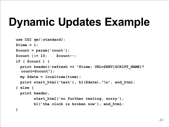# **Dynamic Updates Example**

```
use CGI qw/:standard/;
$time = 1;$count = param('count');
$count ||= 10; $count--;
if ( $count ) {
 print header(-refresh => "$time; URL=$ENV{SCRIPT_NAME}?
  count=$count");
 my $date = localtime(time);
 print start_html('test'), h1($date),"\n", end_html;
} else {
 print header,
        start_html('no further testing, sorry'),
        h1('the clock is broken now'), end_html;
}
```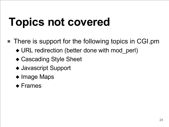# **Topics not covered**

- There is support for the following topics in CGI.pm
	- ◆ URL redirection (better done with mod perl)
	- ◆ Cascading Style Sheet
	- ◆ Javascript Support
	- ◆ Image Maps

#### ◆ Frames